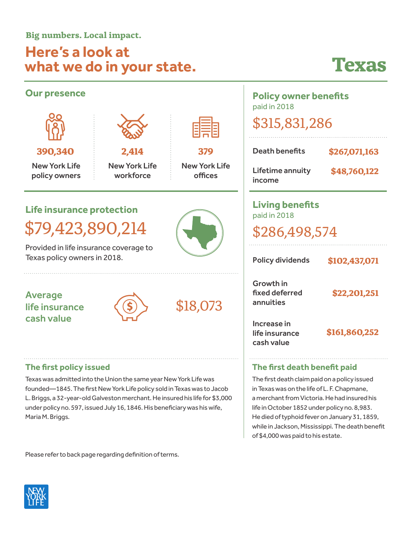**Big numbers. Local impact.**

## **Here's a look at what we do in your state.**

## **Texas**

while in Jackson, Mississippi. The death benefit

of \$4,000 was paid to his estate.

| <b>Our presence</b>                                                                                                                                                                                                                                                                                                                                      |                                            |                                        | <b>Policy owner benefits</b><br>paid in 2018                                                                                                                                                                                                                                  |                               |
|----------------------------------------------------------------------------------------------------------------------------------------------------------------------------------------------------------------------------------------------------------------------------------------------------------------------------------------------------------|--------------------------------------------|----------------------------------------|-------------------------------------------------------------------------------------------------------------------------------------------------------------------------------------------------------------------------------------------------------------------------------|-------------------------------|
|                                                                                                                                                                                                                                                                                                                                                          |                                            |                                        | \$315,831,286                                                                                                                                                                                                                                                                 |                               |
| 390,340<br><b>New York Life</b><br>policy owners                                                                                                                                                                                                                                                                                                         | 2,414<br><b>New York Life</b><br>workforce | 379<br><b>New York Life</b><br>offices | <b>Death benefits</b><br>Lifetime annuity<br>income                                                                                                                                                                                                                           | \$267,071,163<br>\$48,760,122 |
| <b>Life insurance protection</b><br>\$79,423,890,214<br>Provided in life insurance coverage to<br>Texas policy owners in 2018.                                                                                                                                                                                                                           |                                            |                                        | <b>Living benefits</b><br>paid in 2018<br>\$286,498,574<br><b>Policy dividends</b><br>\$102,437,071                                                                                                                                                                           |                               |
| <b>Average</b><br>life insurance<br>cash value                                                                                                                                                                                                                                                                                                           |                                            | \$18,073                               | <b>Growth in</b><br>fixed deferred<br>annuities<br>Increase in<br>life insurance<br>cash value                                                                                                                                                                                | \$22,201,251<br>\$161,860,252 |
| The first policy issued<br>Texas was admitted into the Union the same year New York Life was<br>founded-1845. The first New York Life policy sold in Texas was to Jacob<br>L. Briggs, a 32-year-old Galveston merchant. He insured his life for \$3,000<br>under policy no. 597, issued July 16, 1846. His beneficiary was his wife,<br>Maria M. Briggs. |                                            |                                        | The first death benefit paid<br>The first death claim paid on a policy issued<br>in Texas was on the life of L. F. Chapmane,<br>a merchant from Victoria. He had insured his<br>life in October 1852 under policy no. 8,983.<br>He died of typhoid fever on January 31, 1859, |                               |

Please refer to back page regarding definition of terms.